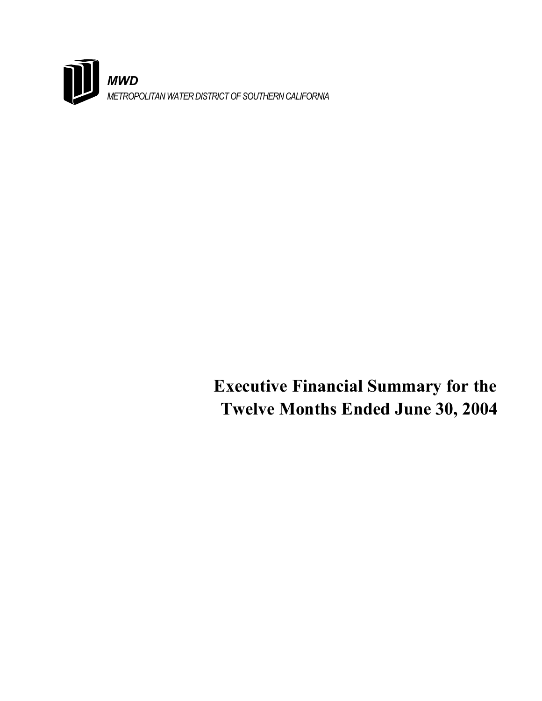

# **Executive Financial Summary for the Twelve Months Ended June 30, 2004**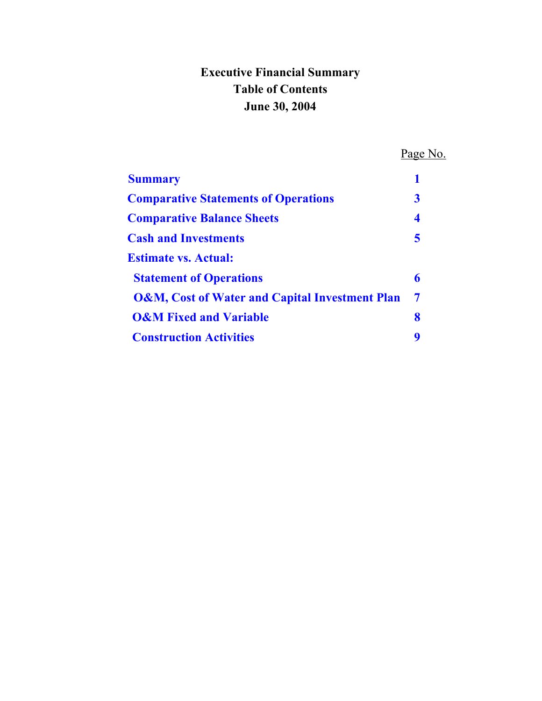# **Executive Financial Summary Table of Contents June 30, 2004**

 Page No. **Summary** 1 **[Comparative Statements of Operations 3](#page-4-0)**  *Comparative Balance Sheets* 4 *Cash and Investments* 5  **Estimate vs. Actual: Statement of Operations 6 6  [O&M, Cost of Water and Capital Investment Plan 7](#page-8-0)  [O&M Fixed and Variable 8](#page-9-0)  Construction Activities** 9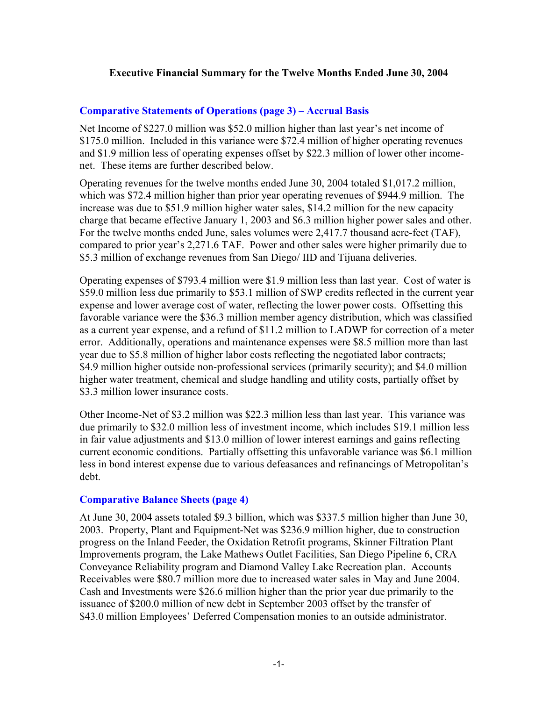### <span id="page-2-0"></span>**Executive Financial Summary for the Twelve Months Ended June 30, 2004**

### **[Comparative Statements of Operations \(page 3\) – Accrual Basis](#page-4-0)**

Net Income of \$227.0 million was \$52.0 million higher than last year's net income of \$175.0 million. Included in this variance were \$72.4 million of higher operating revenues and \$1.9 million less of operating expenses offset by \$22.3 million of lower other incomenet. These items are further described below.

Operating revenues for the twelve months ended June 30, 2004 totaled \$1,017.2 million, which was \$72.4 million higher than prior year operating revenues of \$944.9 million. The increase was due to \$51.9 million higher water sales, \$14.2 million for the new capacity charge that became effective January 1, 2003 and \$6.3 million higher power sales and other. For the twelve months ended June, sales volumes were 2,417.7 thousand acre-feet (TAF), compared to prior year's 2,271.6 TAF. Power and other sales were higher primarily due to \$5.3 million of exchange revenues from San Diego/ IID and Tijuana deliveries.

Operating expenses of \$793.4 million were \$1.9 million less than last year. Cost of water is \$59.0 million less due primarily to \$53.1 million of SWP credits reflected in the current year expense and lower average cost of water, reflecting the lower power costs. Offsetting this favorable variance were the \$36.3 million member agency distribution, which was classified as a current year expense, and a refund of \$11.2 million to LADWP for correction of a meter error. Additionally, operations and maintenance expenses were \$8.5 million more than last year due to \$5.8 million of higher labor costs reflecting the negotiated labor contracts; \$4.9 million higher outside non-professional services (primarily security); and \$4.0 million higher water treatment, chemical and sludge handling and utility costs, partially offset by \$3.3 million lower insurance costs.

Other Income-Net of \$3.2 million was \$22.3 million less than last year. This variance was due primarily to \$32.0 million less of investment income, which includes \$19.1 million less in fair value adjustments and \$13.0 million of lower interest earnings and gains reflecting current economic conditions. Partially offsetting this unfavorable variance was \$6.1 million less in bond interest expense due to various defeasances and refinancings of Metropolitan's debt.

### **[Comparative Balance Sheets \(page 4\)](#page-5-0)**

At June 30, 2004 assets totaled \$9.3 billion, which was \$337.5 million higher than June 30, 2003. Property, Plant and Equipment-Net was \$236.9 million higher, due to construction progress on the Inland Feeder, the Oxidation Retrofit programs, Skinner Filtration Plant Improvements program, the Lake Mathews Outlet Facilities, San Diego Pipeline 6, CRA Conveyance Reliability program and Diamond Valley Lake Recreation plan. Accounts Receivables were \$80.7 million more due to increased water sales in May and June 2004. Cash and Investments were \$26.6 million higher than the prior year due primarily to the issuance of \$200.0 million of new debt in September 2003 offset by the transfer of \$43.0 million Employees' Deferred Compensation monies to an outside administrator.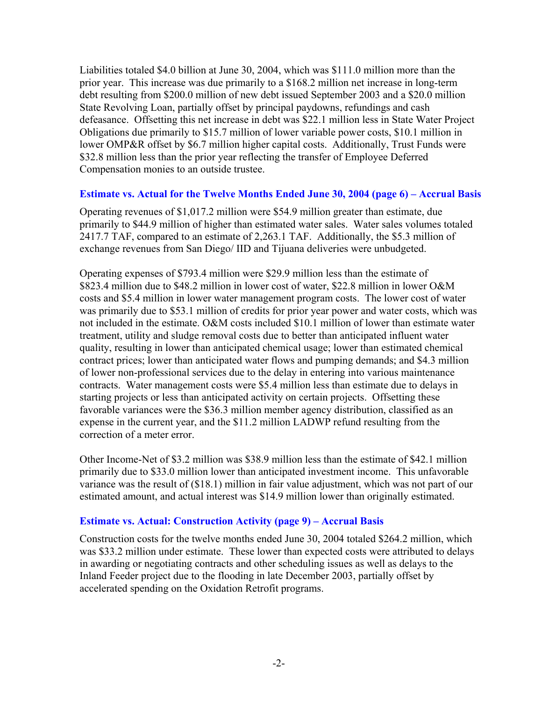Liabilities totaled \$4.0 billion at June 30, 2004, which was \$111.0 million more than the prior year. This increase was due primarily to a \$168.2 million net increase in long-term debt resulting from \$200.0 million of new debt issued September 2003 and a \$20.0 million State Revolving Loan, partially offset by principal paydowns, refundings and cash defeasance. Offsetting this net increase in debt was \$22.1 million less in State Water Project Obligations due primarily to \$15.7 million of lower variable power costs, \$10.1 million in lower OMP&R offset by \$6.7 million higher capital costs. Additionally, Trust Funds were \$32.8 million less than the prior year reflecting the transfer of Employee Deferred Compensation monies to an outside trustee.

### **[Estimate vs. Actual for the Twelve Months Ended June 30, 2004 \(page 6\) – Accrual Basis](#page-7-0)**

Operating revenues of \$1,017.2 million were \$54.9 million greater than estimate, due primarily to \$44.9 million of higher than estimated water sales. Water sales volumes totaled 2417.7 TAF, compared to an estimate of 2,263.1 TAF. Additionally, the \$5.3 million of exchange revenues from San Diego/ IID and Tijuana deliveries were unbudgeted.

Operating expenses of \$793.4 million were \$29.9 million less than the estimate of \$823.4 million due to \$48.2 million in lower cost of water, \$22.8 million in lower O&M costs and \$5.4 million in lower water management program costs. The lower cost of water was primarily due to \$53.1 million of credits for prior year power and water costs, which was not included in the estimate. O&M costs included \$10.1 million of lower than estimate water treatment, utility and sludge removal costs due to better than anticipated influent water quality, resulting in lower than anticipated chemical usage; lower than estimated chemical contract prices; lower than anticipated water flows and pumping demands; and \$4.3 million of lower non-professional services due to the delay in entering into various maintenance contracts. Water management costs were \$5.4 million less than estimate due to delays in starting projects or less than anticipated activity on certain projects. Offsetting these favorable variances were the \$36.3 million member agency distribution, classified as an expense in the current year, and the \$11.2 million LADWP refund resulting from the correction of a meter error.

Other Income-Net of \$3.2 million was \$38.9 million less than the estimate of \$42.1 million primarily due to \$33.0 million lower than anticipated investment income. This unfavorable variance was the result of (\$18.1) million in fair value adjustment, which was not part of our estimated amount, and actual interest was \$14.9 million lower than originally estimated.

## **[Estimate vs. Actual: Construction Activity \(page 9\) – Accrual Basis](#page-10-0)**

Construction costs for the twelve months ended June 30, 2004 totaled \$264.2 million, which was \$33.2 million under estimate. These lower than expected costs were attributed to delays in awarding or negotiating contracts and other scheduling issues as well as delays to the Inland Feeder project due to the flooding in late December 2003, partially offset by accelerated spending on the Oxidation Retrofit programs.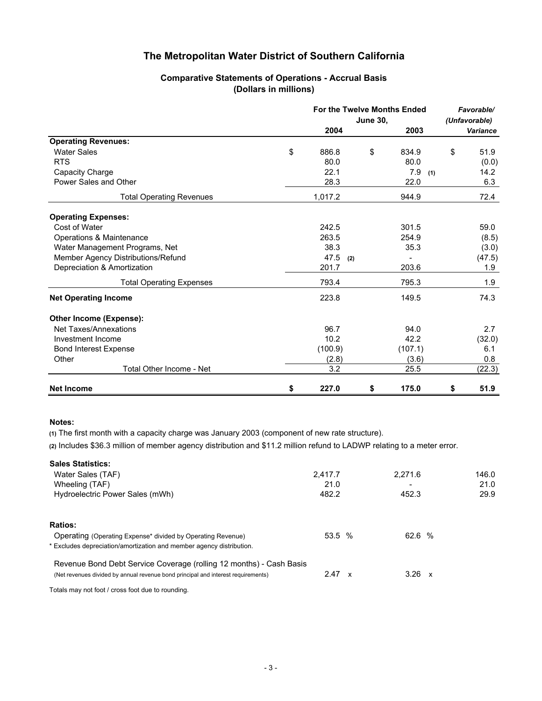#### **Comparative Statements of Operations - Accrual Basis (Dollars in millions)**

<span id="page-4-0"></span>

|                                    |             | <b>June 30,</b> | For the Twelve Months Ended | Favorable/<br>(Unfavorable) |
|------------------------------------|-------------|-----------------|-----------------------------|-----------------------------|
|                                    | 2004        |                 | 2003                        | Variance                    |
| <b>Operating Revenues:</b>         |             |                 |                             |                             |
| <b>Water Sales</b>                 | \$<br>886.8 | \$              | 834.9                       | \$<br>51.9                  |
| <b>RTS</b>                         | 80.0        |                 | 80.0                        | (0.0)                       |
| Capacity Charge                    | 22.1        |                 | 7.9<br>(1)                  | 14.2                        |
| Power Sales and Other              | 28.3        |                 | 22.0                        | 6.3                         |
| <b>Total Operating Revenues</b>    | 1,017.2     |                 | 944.9                       | 72.4                        |
| <b>Operating Expenses:</b>         |             |                 |                             |                             |
| Cost of Water                      | 242.5       |                 | 301.5                       | 59.0                        |
| Operations & Maintenance           | 263.5       |                 | 254.9                       | (8.5)                       |
| Water Management Programs, Net     | 38.3        |                 | 35.3                        | (3.0)                       |
| Member Agency Distributions/Refund | 47.5<br>(2) |                 |                             | (47.5)                      |
| Depreciation & Amortization        | 201.7       |                 | 203.6                       | 1.9                         |
| <b>Total Operating Expenses</b>    | 793.4       |                 | 795.3                       | 1.9                         |
| <b>Net Operating Income</b>        | 223.8       |                 | 149.5                       | 74.3                        |
| Other Income (Expense):            |             |                 |                             |                             |
| Net Taxes/Annexations              | 96.7        |                 | 94.0                        | 2.7                         |
| Investment Income                  | 10.2        |                 | 42.2                        | (32.0)                      |
| <b>Bond Interest Expense</b>       | (100.9)     |                 | (107.1)                     | 6.1                         |
| Other                              | (2.8)       |                 | (3.6)                       | 0.8                         |
| Total Other Income - Net           | 3.2         |                 | 25.5                        | (22.3)                      |
| <b>Net Income</b>                  | \$<br>227.0 | \$              | 175.0                       | \$<br>51.9                  |

#### **Notes:**

**(1)** The first month with a capacity charge was January 2003 (component of new rate structure).

**(2)** Includes \$36.3 million of member agency distribution and \$11.2 million refund to LADWP relating to a meter error.

| <b>Sales Statistics:</b>                                                          |               |               |       |  |
|-----------------------------------------------------------------------------------|---------------|---------------|-------|--|
| Water Sales (TAF)                                                                 | 2.417.7       | 2,271.6       | 146.0 |  |
| Wheeling (TAF)                                                                    | 21.0          |               | 21.0  |  |
| Hydroelectric Power Sales (mWh)                                                   | 482.2         | 452.3         | 29.9  |  |
| <b>Ratios:</b>                                                                    |               |               |       |  |
| Operating (Operating Expense* divided by Operating Revenue)                       | 53.5 %        | 62.6 %        |       |  |
| * Excludes depreciation/amortization and member agency distribution.              |               |               |       |  |
| Revenue Bond Debt Service Coverage (rolling 12 months) - Cash Basis               |               |               |       |  |
| (Net revenues divided by annual revenue bond principal and interest requirements) | $2.47 \times$ | $3.26 \times$ |       |  |
| Totals may not foot / cross foot due to rounding.                                 |               |               |       |  |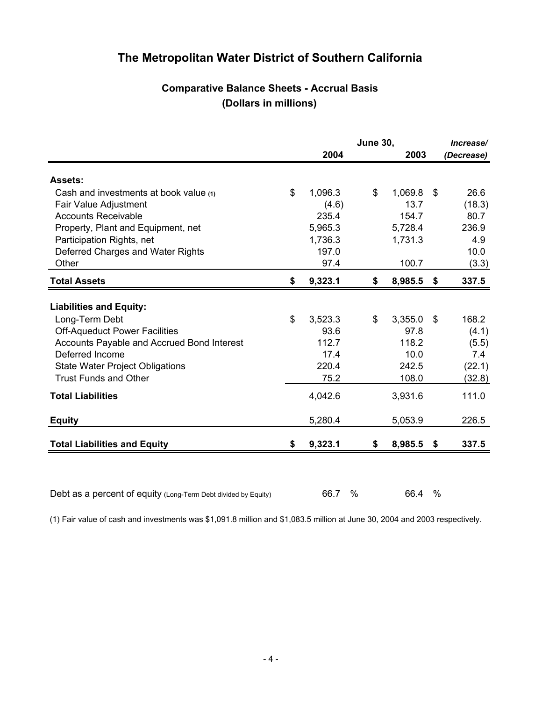# **Comparative Balance Sheets - Accrual Basis (Dollars in millions)**

<span id="page-5-0"></span>

|                                                                |               | <b>June 30,</b> |         |     | Increase/  |
|----------------------------------------------------------------|---------------|-----------------|---------|-----|------------|
|                                                                | 2004          |                 | 2003    |     | (Decrease) |
| <b>Assets:</b>                                                 |               |                 |         |     |            |
| Cash and investments at book value (1)                         | \$<br>1,096.3 | \$              | 1,069.8 | \$  | 26.6       |
| Fair Value Adjustment                                          | (4.6)         |                 | 13.7    |     | (18.3)     |
| <b>Accounts Receivable</b>                                     | 235.4         |                 | 154.7   |     | 80.7       |
| Property, Plant and Equipment, net                             | 5,965.3       |                 | 5,728.4 |     | 236.9      |
| Participation Rights, net                                      | 1,736.3       |                 | 1,731.3 |     | 4.9        |
| Deferred Charges and Water Rights                              | 197.0         |                 |         |     | 10.0       |
| Other                                                          | 97.4          |                 | 100.7   |     | (3.3)      |
| <b>Total Assets</b>                                            | \$<br>9,323.1 | \$              | 8,985.5 | \$  | 337.5      |
|                                                                |               |                 |         |     |            |
| <b>Liabilities and Equity:</b>                                 |               |                 |         |     |            |
| Long-Term Debt                                                 | \$<br>3,523.3 | \$              | 3,355.0 | \$  | 168.2      |
| <b>Off-Aqueduct Power Facilities</b>                           | 93.6          |                 | 97.8    |     | (4.1)      |
| Accounts Payable and Accrued Bond Interest                     | 112.7         |                 | 118.2   |     | (5.5)      |
| Deferred Income                                                | 17.4          |                 | 10.0    |     | 7.4        |
| <b>State Water Project Obligations</b>                         | 220.4         |                 | 242.5   |     | (22.1)     |
| <b>Trust Funds and Other</b>                                   | 75.2          |                 | 108.0   |     | (32.8)     |
| <b>Total Liabilities</b>                                       | 4,042.6       |                 | 3,931.6 |     | 111.0      |
| <b>Equity</b>                                                  | 5,280.4       |                 | 5,053.9 |     | 226.5      |
|                                                                |               |                 |         |     |            |
| <b>Total Liabilities and Equity</b>                            | \$<br>9,323.1 | \$              | 8,985.5 | -\$ | 337.5      |
|                                                                |               |                 |         |     |            |
| Debt as a percent of equity (Long-Term Debt divided by Equity) | 66.7          | %               | 66.4    | %   |            |

(1) Fair value of cash and investments was \$1,091.8 million and \$1,083.5 million at June 30, 2004 and 2003 respectively.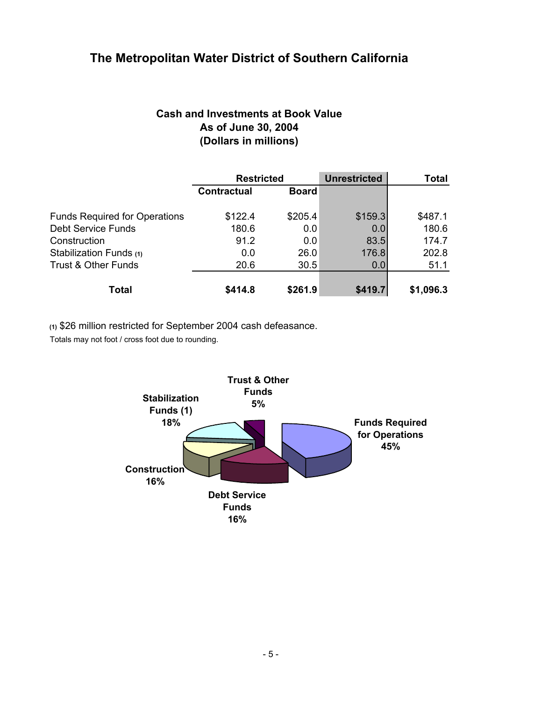# **Cash and Investments at Book Value As of June 30, 2004 (Dollars in millions)**

<span id="page-6-0"></span>

|                                      | <b>Restricted</b>  |              | <b>Unrestricted</b> | Total     |
|--------------------------------------|--------------------|--------------|---------------------|-----------|
|                                      | <b>Contractual</b> | <b>Board</b> |                     |           |
| <b>Funds Required for Operations</b> | \$122.4            | \$205.4      | \$159.3             | \$487.1   |
| <b>Debt Service Funds</b>            | 180.6              | 0.0          | 0.0                 | 180.6     |
| Construction                         | 91.2               | 0.0          | 83.5                | 174.7     |
| Stabilization Funds (1)              | 0.0                | 26.0         | 176.8               | 202.8     |
| <b>Trust &amp; Other Funds</b>       | 20.6               | 30.5         | 0.0                 | 51.1      |
| Total                                | \$414.8            | \$261.9      | \$419.7             | \$1,096.3 |

**(1)** \$26 million restricted for September 2004 cash defeasance.

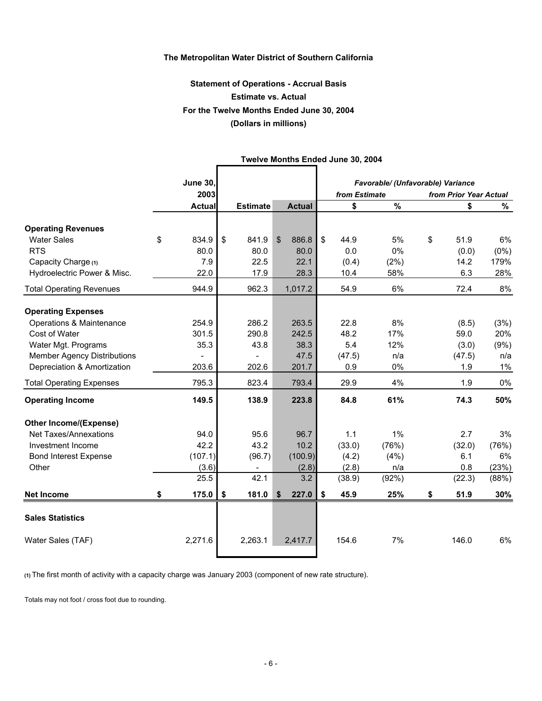# **Statement of Operations - Accrual Basis Estimate vs. Actual For the Twelve Months Ended June 30, 2004 (Dollars in millions)**

<span id="page-7-0"></span>

|                                    | <b>June 30,</b> |                 |                |               |               | Favorable/ (Unfavorable) Variance |                        |         |
|------------------------------------|-----------------|-----------------|----------------|---------------|---------------|-----------------------------------|------------------------|---------|
|                                    | 2003            |                 |                |               | from Estimate |                                   | from Prior Year Actual |         |
|                                    | <b>Actual</b>   | <b>Estimate</b> |                | <b>Actual</b> | \$            | $\frac{0}{0}$                     | \$                     | %       |
| <b>Operating Revenues</b>          |                 |                 |                |               |               |                                   |                        |         |
| <b>Water Sales</b>                 | \$<br>834.9     | \$<br>841.9     | $\mathfrak{S}$ | 886.8         | \$<br>44.9    | 5%                                | \$<br>51.9             | 6%      |
| <b>RTS</b>                         | 80.0            | 80.0            |                | 80.0          | 0.0           | 0%                                | (0.0)                  | $(0\%)$ |
| Capacity Charge (1)                | 7.9             | 22.5            |                | 22.1          | (0.4)         | (2%)                              | 14.2                   | 179%    |
| Hydroelectric Power & Misc.        | 22.0            | 17.9            |                | 28.3          | 10.4          | 58%                               | 6.3                    | 28%     |
| <b>Total Operating Revenues</b>    | 944.9           | 962.3           |                | 1,017.2       | 54.9          | 6%                                | 72.4                   | 8%      |
| <b>Operating Expenses</b>          |                 |                 |                |               |               |                                   |                        |         |
| Operations & Maintenance           | 254.9           | 286.2           |                | 263.5         | 22.8          | 8%                                | (8.5)                  | (3%)    |
| Cost of Water                      | 301.5           | 290.8           |                | 242.5         | 48.2          | 17%                               | 59.0                   | 20%     |
| Water Mgt. Programs                | 35.3            | 43.8            |                | 38.3          | 5.4           | 12%                               | (3.0)                  | (9%)    |
| <b>Member Agency Distributions</b> |                 |                 |                | 47.5          | (47.5)        | n/a                               | (47.5)                 | n/a     |
| Depreciation & Amortization        | 203.6           | 202.6           |                | 201.7         | 0.9           | 0%                                | 1.9                    | 1%      |
| <b>Total Operating Expenses</b>    | 795.3           | 823.4           |                | 793.4         | 29.9          | 4%                                | 1.9                    | $0\%$   |
| <b>Operating Income</b>            | 149.5           | 138.9           |                | 223.8         | 84.8          | 61%                               | 74.3                   | 50%     |
| <b>Other Income/(Expense)</b>      |                 |                 |                |               |               |                                   |                        |         |
| Net Taxes/Annexations              | 94.0            | 95.6            |                | 96.7          | 1.1           | $1\%$                             | 2.7                    | 3%      |
| Investment Income                  | 42.2            | 43.2            |                | 10.2          | (33.0)        | (76%)                             | (32.0)                 | (76%)   |
| <b>Bond Interest Expense</b>       | (107.1)         | (96.7)          |                | (100.9)       | (4.2)         | (4%)                              | 6.1                    | 6%      |
| Other                              | (3.6)           |                 |                | (2.8)         | (2.8)         | n/a                               | 0.8                    | (23%)   |
|                                    | 25.5            | 42.1            |                | 3.2           | (38.9)        | (92%)                             | (22.3)                 | (88%)   |
| <b>Net Income</b>                  | \$<br>175.0     | \$<br>181.0     | \$             | 227.0         | \$<br>45.9    | 25%                               | \$<br>51.9             | 30%     |
| <b>Sales Statistics</b>            |                 |                 |                |               |               |                                   |                        |         |
| Water Sales (TAF)                  | 2,271.6         | 2,263.1         |                | 2,417.7       | 154.6         | 7%                                | 146.0                  | 6%      |

#### **Twelve Months Ended June 30, 2004**

**(1)** The first month of activity with a capacity charge was January 2003 (component of new rate structure).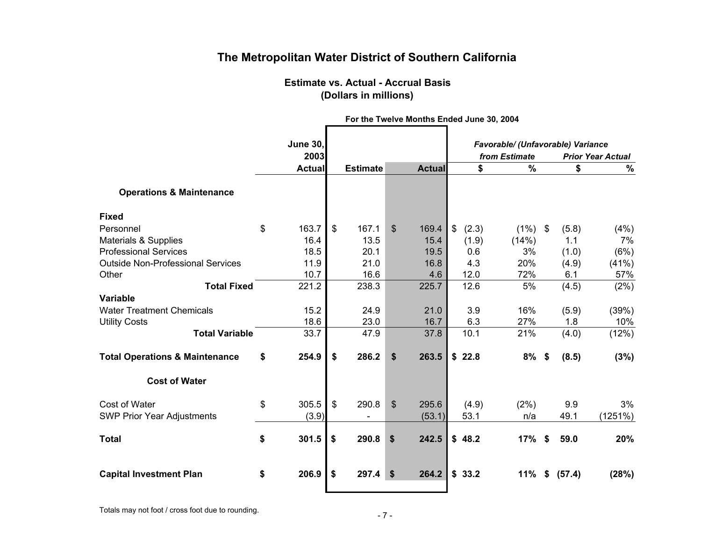### **Estimate vs. Actual - Accrual Basis (Dollars in millions)**

<span id="page-8-0"></span>

|                                           | <b>June 30,</b> |               |                 |                |               |                          |       | Favorable/ (Unfavorable) Variance |                           |        |         |
|-------------------------------------------|-----------------|---------------|-----------------|----------------|---------------|--------------------------|-------|-----------------------------------|---------------------------|--------|---------|
|                                           | 2003            | from Estimate |                 |                |               | <b>Prior Year Actual</b> |       |                                   |                           |        |         |
|                                           | <b>Actual</b>   |               | <b>Estimate</b> |                | <b>Actual</b> |                          | \$    | $\%$                              |                           | \$     | $\%$    |
| <b>Operations &amp; Maintenance</b>       |                 |               |                 |                |               |                          |       |                                   |                           |        |         |
| <b>Fixed</b>                              |                 |               |                 |                |               |                          |       |                                   |                           |        |         |
| Personnel                                 | \$<br>163.7     | \$            | 167.1           | $\mathbb{S}$   | 169.4         | $\frac{1}{2}$            | (2.3) | $(1\%)$ \$                        |                           | (5.8)  | (4%)    |
| Materials & Supplies                      | 16.4            |               | 13.5            |                | 15.4          |                          | (1.9) | (14%)                             |                           | 1.1    | 7%      |
| <b>Professional Services</b>              | 18.5            |               | 20.1            |                | 19.5          |                          | 0.6   | 3%                                |                           | (1.0)  | (6%)    |
| <b>Outside Non-Professional Services</b>  | 11.9            |               | 21.0            |                | 16.8          |                          | 4.3   | 20%                               |                           | (4.9)  | (41%)   |
| Other                                     | 10.7            |               | 16.6            |                | 4.6           |                          | 12.0  | 72%                               |                           | 6.1    | 57%     |
| <b>Total Fixed</b>                        | 221.2           |               | 238.3           |                | 225.7         |                          | 12.6  | 5%                                |                           | (4.5)  | (2%)    |
| <b>Variable</b>                           |                 |               |                 |                |               |                          |       |                                   |                           |        |         |
| <b>Water Treatment Chemicals</b>          | 15.2            |               | 24.9            |                | 21.0          |                          | 3.9   | 16%                               |                           | (5.9)  | (39%)   |
| <b>Utility Costs</b>                      | 18.6            |               | 23.0            |                | 16.7          |                          | 6.3   | 27%                               |                           | 1.8    | 10%     |
| <b>Total Variable</b>                     | 33.7            |               | 47.9            |                | 37.8          |                          | 10.1  | 21%                               |                           | (4.0)  | (12%)   |
| <b>Total Operations &amp; Maintenance</b> | \$<br>254.9     | \$            | 286.2           | \$             | 263.5         | \$                       | 22.8  | 8%                                | $\boldsymbol{\mathsf{s}}$ | (8.5)  | (3%)    |
| <b>Cost of Water</b>                      |                 |               |                 |                |               |                          |       |                                   |                           |        |         |
| Cost of Water                             | \$<br>305.5     | \$            | 290.8           | $\mathfrak{S}$ | 295.6         |                          | (4.9) | (2%)                              |                           | 9.9    | 3%      |
| <b>SWP Prior Year Adjustments</b>         | (3.9)           |               |                 |                | (53.1)        |                          | 53.1  | n/a                               |                           | 49.1   | (1251%) |
| <b>Total</b>                              | \$<br>301.5     | \$            | 290.8           | \$             | 242.5         | \$                       | 48.2  | 17%                               | \$                        | 59.0   | 20%     |
| <b>Capital Investment Plan</b>            | \$<br>206.9     | \$            | 297.4           | \$             | 264.2         | \$                       | 33.2  | 11%                               | \$                        | (57.4) | (28%)   |

**For the Twelve Months Ended June 30, 2004**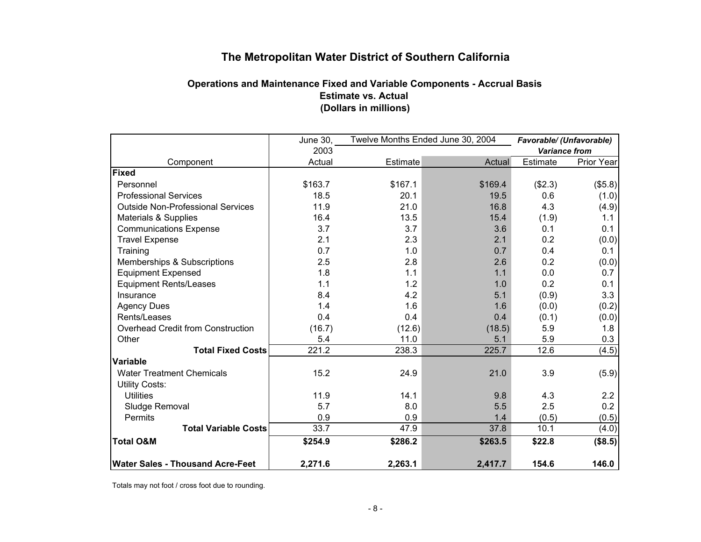## **Operations and Maintenance Fixed and Variable Components - Accrual Basis Estimate vs. Actual (Dollars in millions)**

<span id="page-9-0"></span>

|                                          | June 30, | Twelve Months Ended June 30, 2004 | Favorable/ (Unfavorable) |                      |            |
|------------------------------------------|----------|-----------------------------------|--------------------------|----------------------|------------|
|                                          | 2003     |                                   |                          | <b>Variance from</b> |            |
| Component                                | Actual   | <b>Estimate</b>                   | Actual                   | <b>Estimate</b>      | Prior Year |
| Fixed                                    |          |                                   |                          |                      |            |
| Personnel                                | \$163.7  | \$167.1                           | \$169.4                  | (\$2.3)              | (\$5.8)    |
| <b>Professional Services</b>             | 18.5     | 20.1                              | 19.5                     | 0.6                  | (1.0)      |
| <b>Outside Non-Professional Services</b> | 11.9     | 21.0                              | 16.8                     | 4.3                  | (4.9)      |
| Materials & Supplies                     | 16.4     | 13.5                              | 15.4                     | (1.9)                | 1.1        |
| <b>Communications Expense</b>            | 3.7      | 3.7                               | 3.6                      | 0.1                  | 0.1        |
| <b>Travel Expense</b>                    | 2.1      | 2.3                               | 2.1                      | 0.2                  | (0.0)      |
| Training                                 | 0.7      | 1.0                               | 0.7                      | 0.4                  | 0.1        |
| Memberships & Subscriptions              | 2.5      | 2.8                               | 2.6                      | 0.2                  | (0.0)      |
| <b>Equipment Expensed</b>                | 1.8      | 1.1                               | 1.1                      | 0.0                  | 0.7        |
| <b>Equipment Rents/Leases</b>            | 1.1      | 1.2                               | 1.0                      | 0.2                  | 0.1        |
| Insurance                                | 8.4      | 4.2                               | 5.1                      | (0.9)                | 3.3        |
| <b>Agency Dues</b>                       | 1.4      | 1.6                               | 1.6                      | (0.0)                | (0.2)      |
| Rents/Leases                             | 0.4      | 0.4                               | 0.4                      | (0.1)                | (0.0)      |
| Overhead Credit from Construction        | (16.7)   | (12.6)                            | (18.5)                   | 5.9                  | 1.8        |
| Other                                    | 5.4      | 11.0                              | 5.1                      | 5.9                  | 0.3        |
| <b>Total Fixed Costs</b>                 | 221.2    | 238.3                             | 225.7                    | 12.6                 | (4.5)      |
| Variable                                 |          |                                   |                          |                      |            |
| <b>Water Treatment Chemicals</b>         | 15.2     | 24.9                              | 21.0                     | 3.9                  | (5.9)      |
| <b>Utility Costs:</b>                    |          |                                   |                          |                      |            |
| <b>Utilities</b>                         | 11.9     | 14.1                              | 9.8                      | 4.3                  | 2.2        |
| Sludge Removal                           | 5.7      | 8.0                               | 5.5                      | 2.5                  | 0.2        |
| Permits                                  | 0.9      | 0.9                               | 1.4                      | (0.5)                | (0.5)      |
| <b>Total Variable Costs</b>              | 33.7     | 47.9                              | 37.8                     | 10.1                 | (4.0)      |
| <b>Total O&amp;M</b>                     | \$254.9  | \$286.2                           | \$263.5                  | \$22.8               | (\$8.5)    |
| <b>Water Sales - Thousand Acre-Feet</b>  | 2,271.6  | 2,263.1                           | 2,417.7                  | 154.6                | 146.0      |